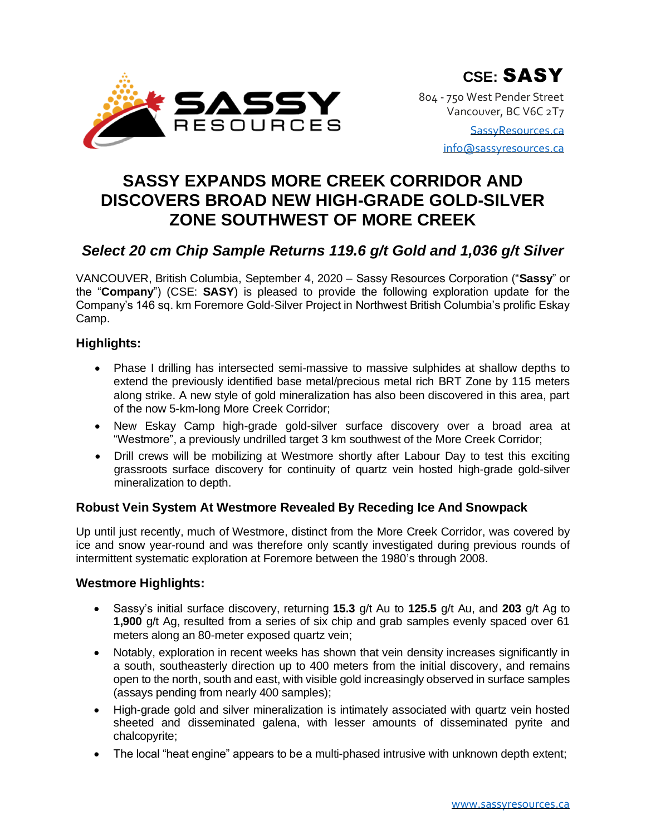

804 - 750 West Pender Street Vancouver, BC V6C 2T7

> [SassyResources.ca](http://www.sassyresources.ca/) [info@sassyresources.ca](mailto:info@sassyresources.ca)

# **SASSY EXPANDS MORE CREEK CORRIDOR AND DISCOVERS BROAD NEW HIGH-GRADE GOLD-SILVER ZONE SOUTHWEST OF MORE CREEK**

# *Select 20 cm Chip Sample Returns 119.6 g/t Gold and 1,036 g/t Silver*

VANCOUVER, British Columbia, September 4, 2020 – Sassy Resources Corporation ("**Sassy**" or the "**Company**") (CSE: **SASY**) is pleased to provide the following exploration update for the Company's 146 sq. km Foremore Gold-Silver Project in Northwest British Columbia's prolific Eskay Camp.

# **Highlights:**

- Phase I drilling has intersected semi-massive to massive sulphides at shallow depths to extend the previously identified base metal/precious metal rich BRT Zone by 115 meters along strike. A new style of gold mineralization has also been discovered in this area, part of the now 5-km-long More Creek Corridor;
- New Eskay Camp high-grade gold-silver surface discovery over a broad area at "Westmore", a previously undrilled target 3 km southwest of the More Creek Corridor;
- Drill crews will be mobilizing at Westmore shortly after Labour Day to test this exciting grassroots surface discovery for continuity of quartz vein hosted high-grade gold-silver mineralization to depth.

# **Robust Vein System At Westmore Revealed By Receding Ice And Snowpack**

Up until just recently, much of Westmore, distinct from the More Creek Corridor, was covered by ice and snow year-round and was therefore only scantly investigated during previous rounds of intermittent systematic exploration at Foremore between the 1980's through 2008.

## **Westmore Highlights:**

- Sassy's initial surface discovery, returning **15.3** g/t Au to **125.5** g/t Au, and **203** g/t Ag to **1,900** g/t Ag, resulted from a series of six chip and grab samples evenly spaced over 61 meters along an 80-meter exposed quartz vein;
- Notably, exploration in recent weeks has shown that vein density increases significantly in a south, southeasterly direction up to 400 meters from the initial discovery, and remains open to the north, south and east, with visible gold increasingly observed in surface samples (assays pending from nearly 400 samples);
- High-grade gold and silver mineralization is intimately associated with quartz vein hosted sheeted and disseminated galena, with lesser amounts of disseminated pyrite and chalcopyrite;
- The local "heat engine" appears to be a multi-phased intrusive with unknown depth extent;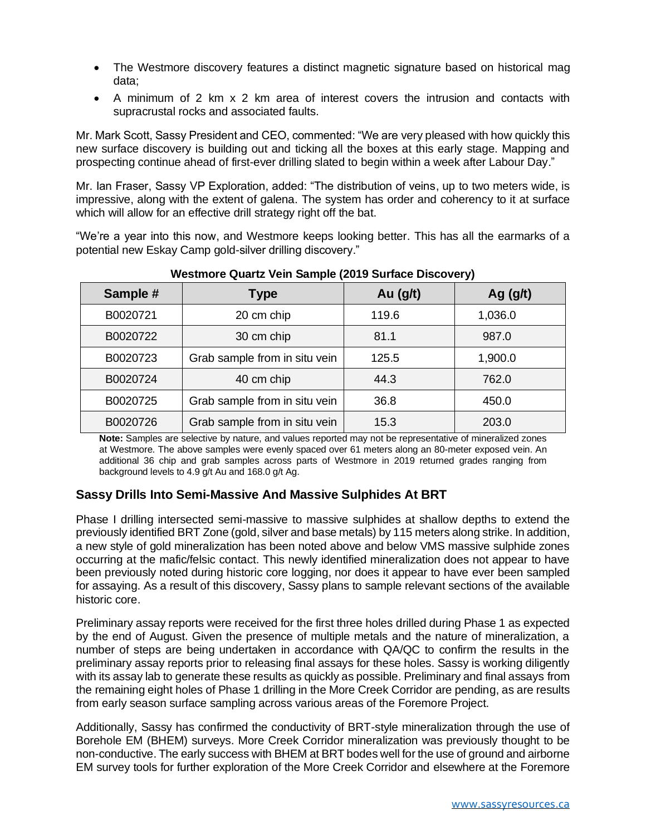- The Westmore discovery features a distinct magnetic signature based on historical mag data;
- A minimum of 2 km x 2 km area of interest covers the intrusion and contacts with supracrustal rocks and associated faults.

Mr. Mark Scott, Sassy President and CEO, commented: "We are very pleased with how quickly this new surface discovery is building out and ticking all the boxes at this early stage. Mapping and prospecting continue ahead of first-ever drilling slated to begin within a week after Labour Day."

Mr. Ian Fraser, Sassy VP Exploration, added: "The distribution of veins, up to two meters wide, is impressive, along with the extent of galena. The system has order and coherency to it at surface which will allow for an effective drill strategy right off the bat.

"We're a year into this now, and Westmore keeps looking better. This has all the earmarks of a potential new Eskay Camp gold-silver drilling discovery."

| Sample # | <b>Type</b>                   | Au $(g/t)$ | Ag $(g/t)$ |
|----------|-------------------------------|------------|------------|
| B0020721 | 20 cm chip                    | 119.6      | 1,036.0    |
| B0020722 | 30 cm chip                    | 81.1       | 987.0      |
| B0020723 | Grab sample from in situ vein | 125.5      | 1,900.0    |
| B0020724 | 40 cm chip                    | 44.3       | 762.0      |
| B0020725 | Grab sample from in situ vein | 36.8       | 450.0      |
| B0020726 | Grab sample from in situ vein | 15.3       | 203.0      |

**Westmore Quartz Vein Sample (2019 Surface Discovery)**

**Note:** Samples are selective by nature, and values reported may not be representative of mineralized zones at Westmore. The above samples were evenly spaced over 61 meters along an 80-meter exposed vein. An additional 36 chip and grab samples across parts of Westmore in 2019 returned grades ranging from background levels to 4.9 g/t Au and 168.0 g/t Ag.

## **Sassy Drills Into Semi-Massive And Massive Sulphides At BRT**

Phase I drilling intersected semi-massive to massive sulphides at shallow depths to extend the previously identified BRT Zone (gold, silver and base metals) by 115 meters along strike. In addition, a new style of gold mineralization has been noted above and below VMS massive sulphide zones occurring at the mafic/felsic contact. This newly identified mineralization does not appear to have been previously noted during historic core logging, nor does it appear to have ever been sampled for assaying. As a result of this discovery, Sassy plans to sample relevant sections of the available historic core.

Preliminary assay reports were received for the first three holes drilled during Phase 1 as expected by the end of August. Given the presence of multiple metals and the nature of mineralization, a number of steps are being undertaken in accordance with QA/QC to confirm the results in the preliminary assay reports prior to releasing final assays for these holes. Sassy is working diligently with its assay lab to generate these results as quickly as possible. Preliminary and final assays from the remaining eight holes of Phase 1 drilling in the More Creek Corridor are pending, as are results from early season surface sampling across various areas of the Foremore Project.

Additionally, Sassy has confirmed the conductivity of BRT-style mineralization through the use of Borehole EM (BHEM) surveys. More Creek Corridor mineralization was previously thought to be non-conductive. The early success with BHEM at BRT bodes well for the use of ground and airborne EM survey tools for further exploration of the More Creek Corridor and elsewhere at the Foremore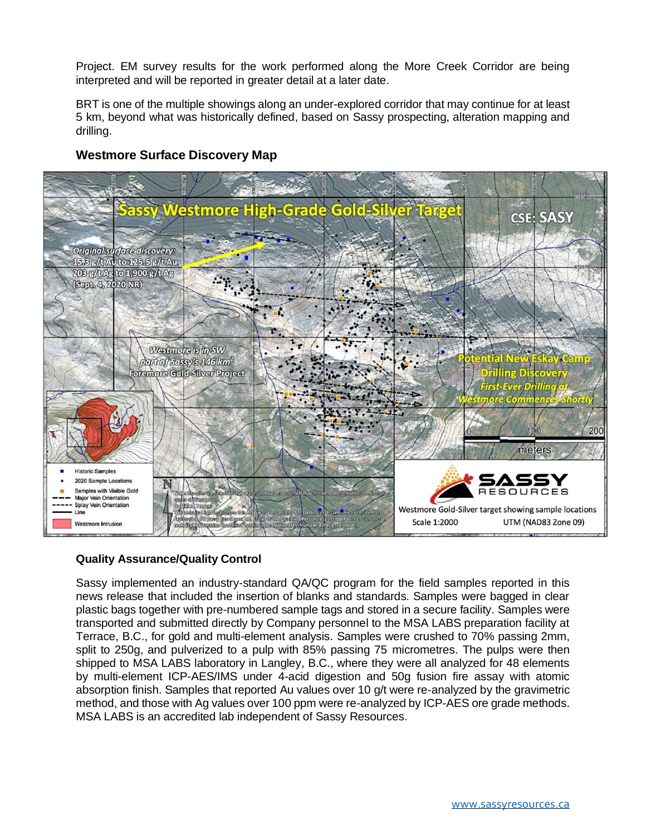Project. EM survey results for the work performed along the More Creek Corridor are being interpreted and will be reported in greater detail at a later date.

BRT is one of the multiple showings along an under-explored corridor that may continue for at least 5 km, beyond what was historically defined, based on Sassy prospecting, alteration mapping and drilling.



## **Westmore Surface Discovery Map**

## **Quality Assurance/Quality Control**

Sassy implemented an industry-standard QA/QC program for the field samples reported in this news release that included the insertion of blanks and standards. Samples were bagged in clear plastic bags together with pre-numbered sample tags and stored in a secure facility. Samples were transported and submitted directly by Company personnel to the MSA LABS preparation facility at Terrace, B.C., for gold and multi-element analysis. Samples were crushed to 70% passing 2mm, split to 250g, and pulverized to a pulp with 85% passing 75 micrometres. The pulps were then shipped to MSA LABS laboratory in Langley, B.C., where they were all analyzed for 48 elements by multi-element ICP-AES/IMS under 4-acid digestion and 50g fusion fire assay with atomic absorption finish. Samples that reported Au values over 10 g/t were re-analyzed by the gravimetric method, and those with Ag values over 100 ppm were re-analyzed by ICP-AES ore grade methods. MSA LABS is an accredited lab independent of Sassy Resources.